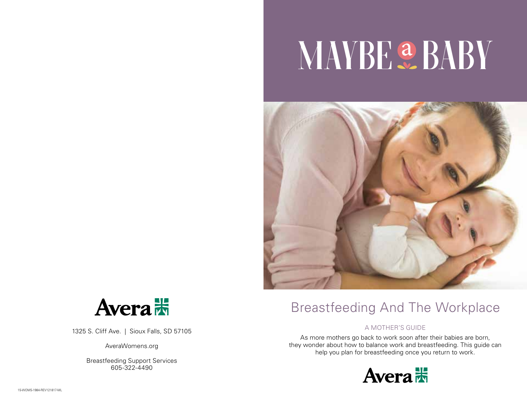# **NAYBE & BABY**





1325 S. Cliff Ave. | Sioux Falls, SD 57105

AveraWomens.org

Breastfeeding Support Services 605-322-4490

# Breastfeeding And The Workplace

## A MOTHER'S GUIDE

As more mothers go back to work soon after their babies are born, they wonder about how to balance work and breastfeeding. This guide can help you plan for breastfeeding once you return to work.

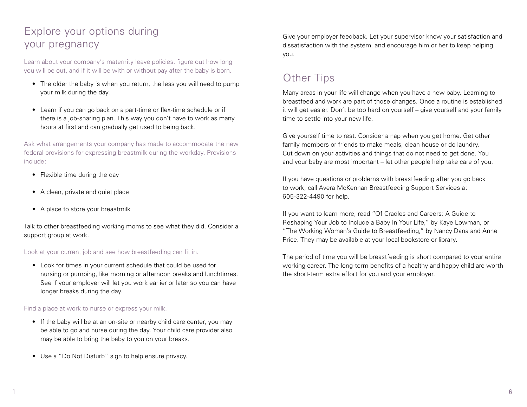# Explore your options during your pregnancy

Learn about your company's maternity leave policies, figure out how long you will be out, and if it will be with or without pay after the baby is born.

- The older the baby is when you return, the less you will need to pump your milk during the day.
- Learn if you can go back on a part-time or flex-time schedule or if there is a job-sharing plan. This way you don't have to work as many hours at first and can gradually get used to being back.

Ask what arrangements your company has made to accommodate the new federal provisions for expressing breastmilk during the workday. Provisions include:

- Flexible time during the day
- A clean, private and quiet place
- A place to store your breastmilk

Talk to other breastfeeding working moms to see what they did. Consider a support group at work.

## Look at your current job and see how breastfeeding can fit in.

• Look for times in your current schedule that could be used for nursing or pumping, like morning or afternoon breaks and lunchtimes. See if your employer will let you work earlier or later so you can have longer breaks during the day.

Find a place at work to nurse or express your milk.

- If the baby will be at an on-site or nearby child care center, you may be able to go and nurse during the day. Your child care provider also may be able to bring the baby to you on your breaks.
- Use a "Do Not Disturb" sign to help ensure privacy.

Give your employer feedback. Let your supervisor know your satisfaction and dissatisfaction with the system, and encourage him or her to keep helping you.

# Other Tips

Many areas in your life will change when you have a new baby. Learning to breastfeed and work are part of those changes. Once a routine is established it will get easier. Don't be too hard on yourself – give yourself and your family time to settle into your new life.

Give yourself time to rest. Consider a nap when you get home. Get other family members or friends to make meals, clean house or do laundry. Cut down on your activities and things that do not need to get done. You and your baby are most important – let other people help take care of you.

If you have questions or problems with breastfeeding after you go back to work, call Avera McKennan Breastfeeding Support Services at 605-322-4490 for help.

If you want to learn more, read "Of Cradles and Careers: A Guide to Reshaping Your Job to Include a Baby In Your Life," by Kaye Lowman, or "The Working Woman's Guide to Breastfeeding," by Nancy Dana and Anne Price. They may be available at your local bookstore or library.

The period of time you will be breastfeeding is short compared to your entire working career. The long-term benefits of a healthy and happy child are worth the short-term extra effort for you and your employer.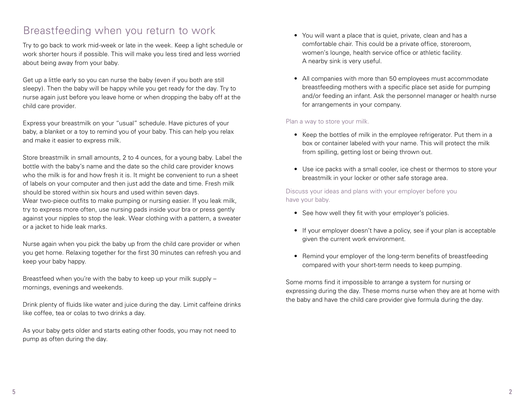# Breastfeeding when you return to work

Try to go back to work mid-week or late in the week. Keep a light schedule or work shorter hours if possible. This will make you less tired and less worried about being away from your baby.

Get up a little early so you can nurse the baby (even if you both are still sleepy). Then the baby will be happy while you get ready for the day. Try to nurse again just before you leave home or when dropping the baby off at the child care provider.

Express your breastmilk on your "usual" schedule. Have pictures of your baby, a blanket or a toy to remind you of your baby. This can help you relax and make it easier to express milk.

Store breastmilk in small amounts, 2 to 4 ounces, for a young baby. Label the bottle with the baby's name and the date so the child care provider knows who the milk is for and how fresh it is. It might be convenient to run a sheet of labels on your computer and then just add the date and time. Fresh milk should be stored within six hours and used within seven days.

Wear two-piece outfits to make pumping or nursing easier. If you leak milk, try to express more often, use nursing pads inside your bra or press gently against your nipples to stop the leak. Wear clothing with a pattern, a sweater or a jacket to hide leak marks.

Nurse again when you pick the baby up from the child care provider or when you get home. Relaxing together for the first 30 minutes can refresh you and keep your baby happy.

Breastfeed when you're with the baby to keep up your milk supply – mornings, evenings and weekends.

Drink plenty of fluids like water and juice during the day. Limit caffeine drinks like coffee, tea or colas to two drinks a day.

As your baby gets older and starts eating other foods, you may not need to pump as often during the day.

- You will want a place that is quiet, private, clean and has a comfortable chair. This could be a private office, storeroom, women's lounge, health service office or athletic facility. A nearby sink is very useful.
- All companies with more than 50 employees must accommodate breastfeeding mothers with a specific place set aside for pumping and/or feeding an infant. Ask the personnel manager or health nurse for arrangements in your company.

## Plan a way to store your milk.

- Keep the bottles of milk in the employee refrigerator. Put them in a box or container labeled with your name. This will protect the milk from spilling, getting lost or being thrown out.
- Use ice packs with a small cooler, ice chest or thermos to store your breastmilk in your locker or other safe storage area.

Discuss your ideas and plans with your employer before you have your baby.

- See how well they fit with your employer's policies.
- If your employer doesn't have a policy, see if your plan is acceptable given the current work environment.
- Remind your employer of the long-term benefits of breastfeeding compared with your short-term needs to keep pumping.

Some moms find it impossible to arrange a system for nursing or expressing during the day. These moms nurse when they are at home with the baby and have the child care provider give formula during the day.